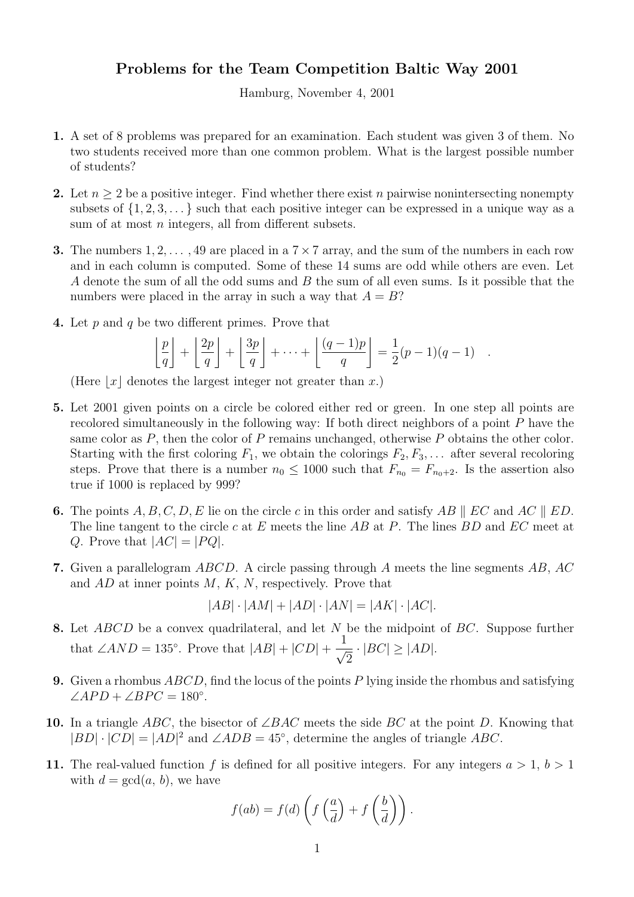## Problems for the Team Competition Baltic Way 2001

Hamburg, November 4, 2001

- 1. A set of 8 problems was prepared for an examination. Each student was given 3 of them. No two students received more than one common problem. What is the largest possible number of students?
- 2. Let  $n \geq 2$  be a positive integer. Find whether there exist n pairwise nonintersecting nonempty subsets of  $\{1, 2, 3, \ldots\}$  such that each positive integer can be expressed in a unique way as a sum of at most *n* integers, all from different subsets.
- **3.** The numbers  $1, 2, \ldots, 49$  are placed in a  $7 \times 7$  array, and the sum of the numbers in each row and in each column is computed. Some of these 14 sums are odd while others are even. Let A denote the sum of all the odd sums and B the sum of all even sums. Is it possible that the numbers were placed in the array in such a way that  $A = B$ ?
- 4. Let p and q be two different primes. Prove that

$$
\left\lfloor \frac{p}{q} \right\rfloor + \left\lfloor \frac{2p}{q} \right\rfloor + \left\lfloor \frac{3p}{q} \right\rfloor + \dots + \left\lfloor \frac{(q-1)p}{q} \right\rfloor = \frac{1}{2}(p-1)(q-1) .
$$

(Here  $|x|$  denotes the largest integer not greater than x.)

- 5. Let 2001 given points on a circle be colored either red or green. In one step all points are recolored simultaneously in the following way: If both direct neighbors of a point P have the same color as  $P$ , then the color of  $P$  remains unchanged, otherwise  $P$  obtains the other color. Starting with the first coloring  $F_1$ , we obtain the colorings  $F_2, F_3, \ldots$  after several recoloring steps. Prove that there is a number  $n_0 \leq 1000$  such that  $F_{n_0} = F_{n_0+2}$ . Is the assertion also true if 1000 is replaced by 999?
- 6. The points  $A, B, C, D, E$  lie on the circle c in this order and satisfy AB || EC and AC || ED. The line tangent to the circle c at E meets the line  $AB$  at P. The lines  $BD$  and  $EC$  meet at Q. Prove that  $|AC| = |PQ|$ .
- 7. Given a parallelogram ABCD. A circle passing through A meets the line segments AB, AC and  $AD$  at inner points  $M, K, N$ , respectively. Prove that

$$
|AB| \cdot |AM| + |AD| \cdot |AN| = |AK| \cdot |AC|.
$$

- 8. Let *ABCD* be a convex quadrilateral, and let N be the midpoint of BC. Suppose further that  $\angle AND = 135^\circ$ . Prove that  $|AB| + |CD| + \frac{1}{\sqrt{25}}$ 2  $\cdot$   $|BC| \geq |AD|$ .
- 9. Given a rhombus  $ABCD$ , find the locus of the points P lying inside the rhombus and satisfying  $\angle APD + \angle BPC = 180^\circ.$
- 10. In a triangle ABC, the bisector of  $\angle BAC$  meets the side BC at the point D. Knowing that  $|BD| \cdot |CD| = |AD|^2$  and  $\angle ADB = 45^\circ$ , determine the angles of triangle ABC.
- 11. The real-valued function f is defined for all positive integers. For any integers  $a > 1$ ,  $b > 1$ with  $d = \gcd(a, b)$ , we have

$$
f(ab) = f(d) \left( f\left(\frac{a}{d}\right) + f\left(\frac{b}{d}\right) \right).
$$